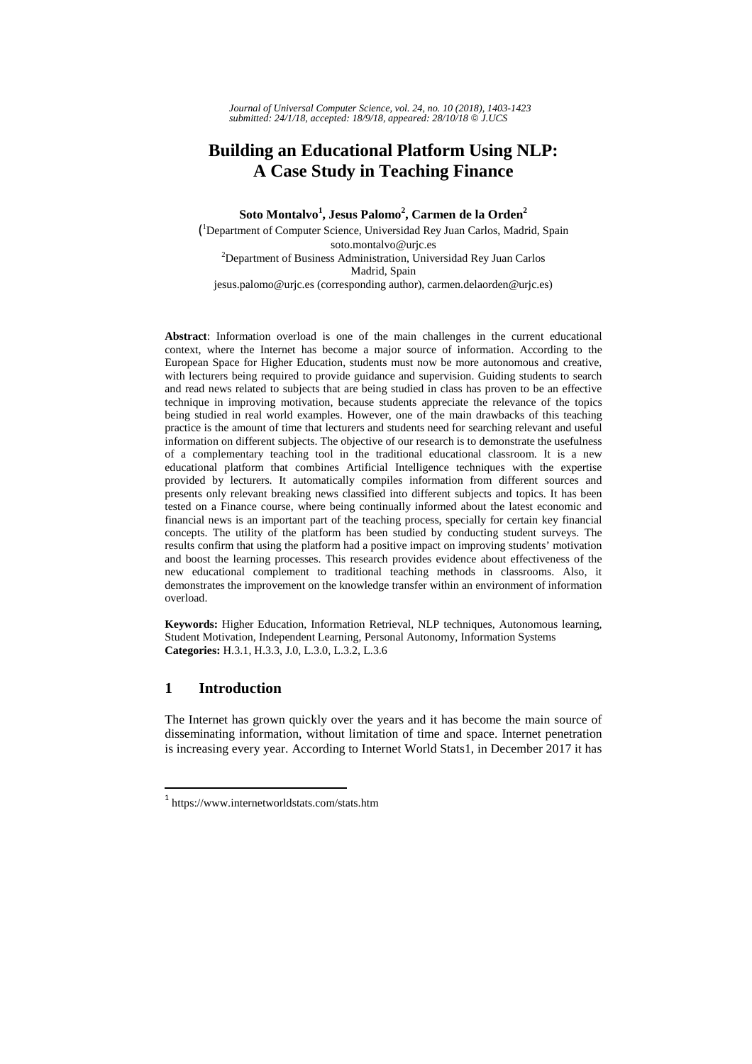*Journal of Universal Computer Science, vol. 24, no. 10 (2018), 1403-1423 submitted: 24/1/18, accepted: 18/9/18, appeared: 28/10/18* © *J.UCS*

# **Building an Educational Platform Using NLP: A Case Study in Teaching Finance**

**Soto Montalvo<sup>1</sup> , Jesus Palomo<sup>2</sup> , Carmen de la Orden2** ( 1 Department of Computer Science, Universidad Rey Juan Carlos, Madrid, Spain

soto.montalvo@urjc.es 2 Department of Business Administration, Universidad Rey Juan Carlos Madrid, Spain

jesus.palomo@urjc.es (corresponding author), carmen.delaorden@urjc.es)

**Abstract**: Information overload is one of the main challenges in the current educational context, where the Internet has become a major source of information. According to the European Space for Higher Education, students must now be more autonomous and creative, with lecturers being required to provide guidance and supervision. Guiding students to search and read news related to subjects that are being studied in class has proven to be an effective technique in improving motivation, because students appreciate the relevance of the topics being studied in real world examples. However, one of the main drawbacks of this teaching practice is the amount of time that lecturers and students need for searching relevant and useful information on different subjects. The objective of our research is to demonstrate the usefulness of a complementary teaching tool in the traditional educational classroom. It is a new educational platform that combines Artificial Intelligence techniques with the expertise provided by lecturers. It automatically compiles information from different sources and presents only relevant breaking news classified into different subjects and topics. It has been tested on a Finance course, where being continually informed about the latest economic and financial news is an important part of the teaching process, specially for certain key financial concepts. The utility of the platform has been studied by conducting student surveys. The results confirm that using the platform had a positive impact on improving students' motivation and boost the learning processes. This research provides evidence about effectiveness of the new educational complement to traditional teaching methods in classrooms. Also, it demonstrates the improvement on the knowledge transfer within an environment of information overload.

**Keywords:** Higher Education, Information Retrieval, NLP techniques, Autonomous learning, Student Motivation, Independent Learning, Personal Autonomy, Information Systems **Categories:** H.3.1, H.3.3, J.0, L.3.0, L.3.2, L.3.6

# **1 Introduction**

 $\overline{a}$ 

The Internet has grown quickly over the years and it has become the main source of disseminating information, without limitation of time and space. Internet penetration is increasing every year. According to Internet World Stats1, in December 2017 it has

<sup>1</sup> https://www.internetworldstats.com/stats.htm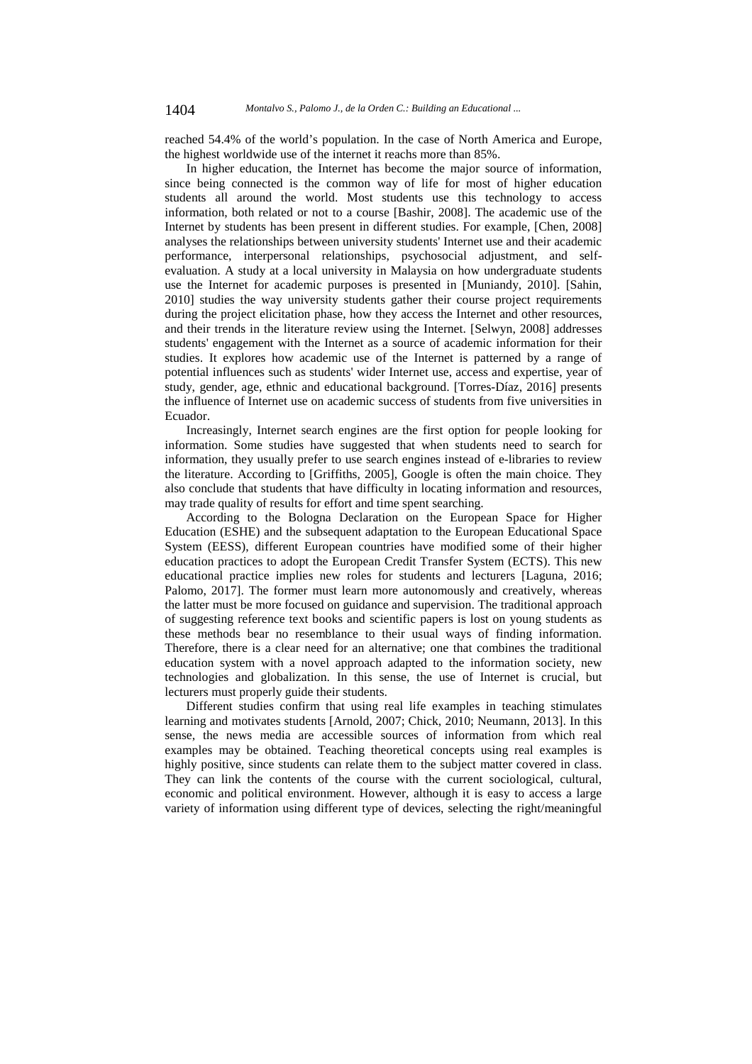reached 54.4% of the world's population. In the case of North America and Europe, the highest worldwide use of the internet it reachs more than 85%.

In higher education, the Internet has become the major source of information, since being connected is the common way of life for most of higher education students all around the world. Most students use this technology to access information, both related or not to a course [Bashir, 2008]. The academic use of the Internet by students has been present in different studies. For example, [Chen, 2008] analyses the relationships between university students' Internet use and their academic performance, interpersonal relationships, psychosocial adjustment, and selfevaluation. A study at a local university in Malaysia on how undergraduate students use the Internet for academic purposes is presented in [Muniandy, 2010]. [Sahin, 2010] studies the way university students gather their course project requirements during the project elicitation phase, how they access the Internet and other resources, and their trends in the literature review using the Internet. [Selwyn, 2008] addresses students' engagement with the Internet as a source of academic information for their studies. It explores how academic use of the Internet is patterned by a range of potential influences such as students' wider Internet use, access and expertise, year of study, gender, age, ethnic and educational background. [Torres-Díaz, 2016] presents the influence of Internet use on academic success of students from five universities in Ecuador.

Increasingly, Internet search engines are the first option for people looking for information. Some studies have suggested that when students need to search for information, they usually prefer to use search engines instead of e-libraries to review the literature. According to [Griffiths, 2005], Google is often the main choice. They also conclude that students that have difficulty in locating information and resources, may trade quality of results for effort and time spent searching.

According to the Bologna Declaration on the European Space for Higher Education (ESHE) and the subsequent adaptation to the European Educational Space System (EESS), different European countries have modified some of their higher education practices to adopt the European Credit Transfer System (ECTS). This new educational practice implies new roles for students and lecturers [Laguna, 2016; Palomo, 2017]. The former must learn more autonomously and creatively, whereas the latter must be more focused on guidance and supervision. The traditional approach of suggesting reference text books and scientific papers is lost on young students as these methods bear no resemblance to their usual ways of finding information. Therefore, there is a clear need for an alternative; one that combines the traditional education system with a novel approach adapted to the information society, new technologies and globalization. In this sense, the use of Internet is crucial, but lecturers must properly guide their students.

Different studies confirm that using real life examples in teaching stimulates learning and motivates students [Arnold, 2007; Chick, 2010; Neumann, 2013]. In this sense, the news media are accessible sources of information from which real examples may be obtained. Teaching theoretical concepts using real examples is highly positive, since students can relate them to the subject matter covered in class. They can link the contents of the course with the current sociological, cultural, economic and political environment. However, although it is easy to access a large variety of information using different type of devices, selecting the right/meaningful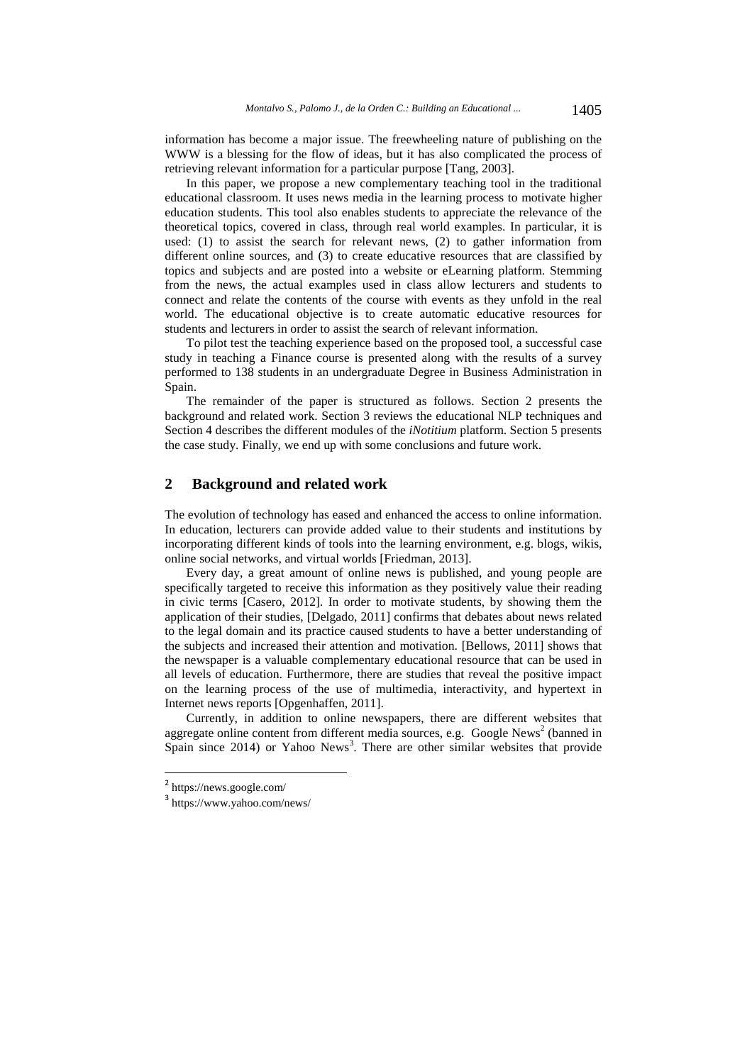information has become a major issue. The freewheeling nature of publishing on the WWW is a blessing for the flow of ideas, but it has also complicated the process of retrieving relevant information for a particular purpose [Tang, 2003].

In this paper, we propose a new complementary teaching tool in the traditional educational classroom. It uses news media in the learning process to motivate higher education students. This tool also enables students to appreciate the relevance of the theoretical topics, covered in class, through real world examples. In particular, it is used: (1) to assist the search for relevant news, (2) to gather information from different online sources, and (3) to create educative resources that are classified by topics and subjects and are posted into a website or eLearning platform. Stemming from the news, the actual examples used in class allow lecturers and students to connect and relate the contents of the course with events as they unfold in the real world. The educational objective is to create automatic educative resources for students and lecturers in order to assist the search of relevant information.

To pilot test the teaching experience based on the proposed tool, a successful case study in teaching a Finance course is presented along with the results of a survey performed to 138 students in an undergraduate Degree in Business Administration in Spain.

The remainder of the paper is structured as follows. Section 2 presents the background and related work. Section 3 reviews the educational NLP techniques and Section 4 describes the different modules of the *iNotitium* platform. Section 5 presents the case study. Finally, we end up with some conclusions and future work.

# **2 Background and related work**

The evolution of technology has eased and enhanced the access to online information. In education, lecturers can provide added value to their students and institutions by incorporating different kinds of tools into the learning environment, e.g. blogs, wikis, online social networks, and virtual worlds [Friedman, 2013].

Every day, a great amount of online news is published, and young people are specifically targeted to receive this information as they positively value their reading in civic terms [Casero, 2012]. In order to motivate students, by showing them the application of their studies, [Delgado, 2011] confirms that debates about news related to the legal domain and its practice caused students to have a better understanding of the subjects and increased their attention and motivation. [Bellows, 2011] shows that the newspaper is a valuable complementary educational resource that can be used in all levels of education. Furthermore, there are studies that reveal the positive impact on the learning process of the use of multimedia, interactivity, and hypertext in Internet news reports [Opgenhaffen, 2011].

Currently, in addition to online newspapers, there are different websites that aggregate online content from different media sources, e.g. Google News<sup>2</sup> (banned in Spain since 2014) or Yahoo News<sup>3</sup>. There are other similar websites that provide

 $\overline{a}$ 

<sup>2</sup> https://news.google.com/

<sup>3</sup> https://www.yahoo.com/news/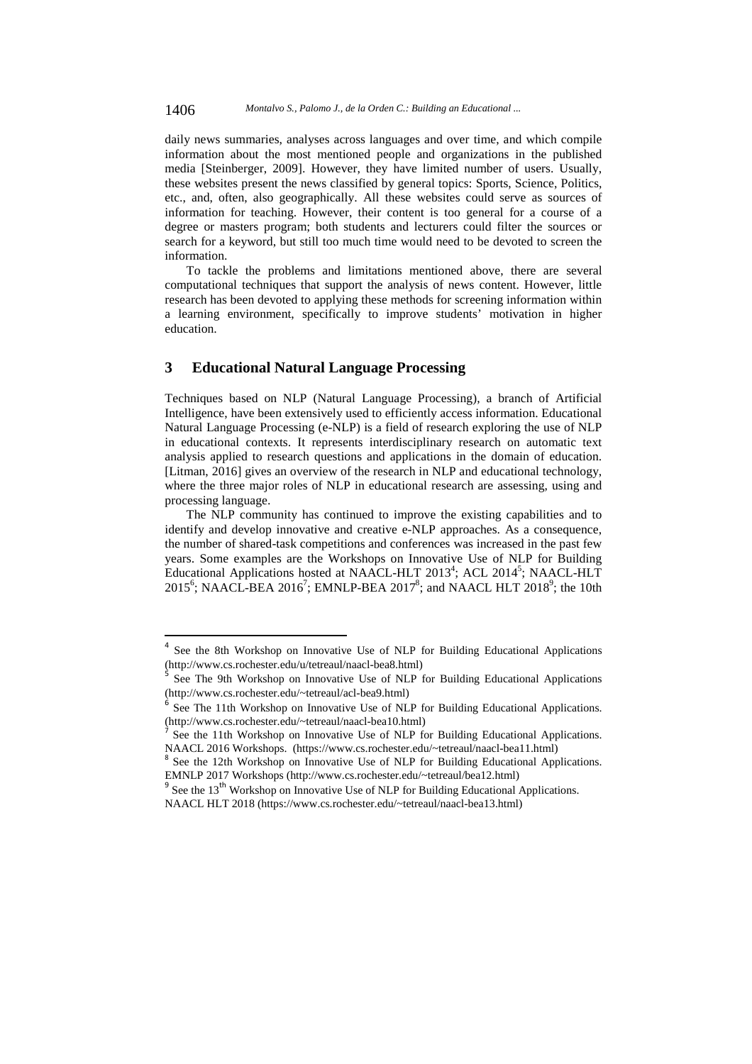1406 *Montalvo S., Palomo J., de la Orden C.: Building an Educational ...*

daily news summaries, analyses across languages and over time, and which compile information about the most mentioned people and organizations in the published media [Steinberger, 2009]. However, they have limited number of users. Usually, these websites present the news classified by general topics: Sports, Science, Politics, etc., and, often, also geographically. All these websites could serve as sources of information for teaching. However, their content is too general for a course of a degree or masters program; both students and lecturers could filter the sources or search for a keyword, but still too much time would need to be devoted to screen the information.

To tackle the problems and limitations mentioned above, there are several computational techniques that support the analysis of news content. However, little research has been devoted to applying these methods for screening information within a learning environment, specifically to improve students' motivation in higher education.

# **3 Educational Natural Language Processing**

 $\overline{a}$ 

Techniques based on NLP (Natural Language Processing), a branch of Artificial Intelligence, have been extensively used to efficiently access information. Educational Natural Language Processing (e-NLP) is a field of research exploring the use of NLP in educational contexts. It represents interdisciplinary research on automatic text analysis applied to research questions and applications in the domain of education. [Litman, 2016] gives an overview of the research in NLP and educational technology, where the three major roles of NLP in educational research are assessing, using and processing language.

The NLP community has continued to improve the existing capabilities and to identify and develop innovative and creative e-NLP approaches. As a consequence, the number of shared-task competitions and conferences was increased in the past few years. Some examples are the Workshops on Innovative Use of NLP for Building Educational Applications hosted at NAACL-HLT 2013<sup>4</sup>; ACL 2014<sup>5</sup>; NAACL-HLT  $2015^6$ ; NAACL-BEA  $2016^7$ ; EMNLP-BEA  $2017^8$ ; and NAACL HLT  $2018^9$ ; the 10th

See the 8th Workshop on Innovative Use of NLP for Building Educational Applications (http://www.cs.rochester.edu/u/tetreaul/naacl-bea8.html)

<sup>5</sup> See The 9th Workshop on Innovative Use of NLP for Building Educational Applications (http://www.cs.rochester.edu/~tetreaul/acl-bea9.html)

See The 11th Workshop on Innovative Use of NLP for Building Educational Applications. (http://www.cs.rochester.edu/~tetreaul/naacl-bea10.html)

<sup>7</sup> See the 11th Workshop on Innovative Use of NLP for Building Educational Applications. NAACL 2016 Workshops. (https://www.cs.rochester.edu/~tetreaul/naacl-bea11.html)<br><sup>8</sup> See the 12th Workshop on Innovative Use of NLP for Building Educational Applications.

EMNLP 2017 Workshops (http://www.cs.rochester.edu/~tetreaul/bea12.html)

See the 13<sup>th</sup> Workshop on Innovative Use of NLP for Building Educational Applications.

NAACL HLT 2018 (https://www.cs.rochester.edu/~tetreaul/naacl-bea13.html)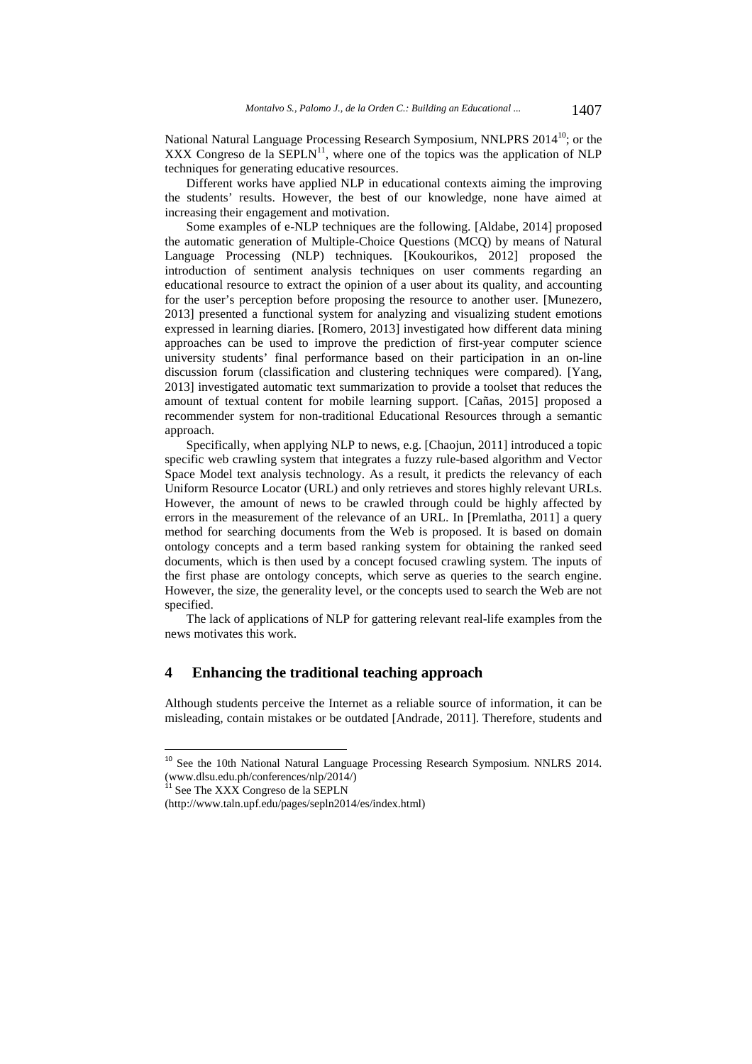National Natural Language Processing Research Symposium, NNLPRS 2014<sup>10</sup>; or the XXX Congreso de la  $SEPLN<sup>11</sup>$ , where one of the topics was the application of NLP techniques for generating educative resources.

Different works have applied NLP in educational contexts aiming the improving the students' results. However, the best of our knowledge, none have aimed at increasing their engagement and motivation.

Some examples of e-NLP techniques are the following. [Aldabe, 2014] proposed the automatic generation of Multiple-Choice Questions (MCQ) by means of Natural Language Processing (NLP) techniques. [Koukourikos, 2012] proposed the introduction of sentiment analysis techniques on user comments regarding an educational resource to extract the opinion of a user about its quality, and accounting for the user's perception before proposing the resource to another user. [Munezero, 2013] presented a functional system for analyzing and visualizing student emotions expressed in learning diaries. [Romero, 2013] investigated how different data mining approaches can be used to improve the prediction of first-year computer science university students' final performance based on their participation in an on-line discussion forum (classification and clustering techniques were compared). [Yang, 2013] investigated automatic text summarization to provide a toolset that reduces the amount of textual content for mobile learning support. [Cañas, 2015] proposed a recommender system for non-traditional Educational Resources through a semantic approach.

Specifically, when applying NLP to news, e.g. [Chaojun, 2011] introduced a topic specific web crawling system that integrates a fuzzy rule-based algorithm and Vector Space Model text analysis technology. As a result, it predicts the relevancy of each Uniform Resource Locator (URL) and only retrieves and stores highly relevant URLs. However, the amount of news to be crawled through could be highly affected by errors in the measurement of the relevance of an URL. In [Premlatha, 2011] a query method for searching documents from the Web is proposed. It is based on domain ontology concepts and a term based ranking system for obtaining the ranked seed documents, which is then used by a concept focused crawling system. The inputs of the first phase are ontology concepts, which serve as queries to the search engine. However, the size, the generality level, or the concepts used to search the Web are not specified.

The lack of applications of NLP for gattering relevant real-life examples from the news motivates this work.

## **4 Enhancing the traditional teaching approach**

Although students perceive the Internet as a reliable source of information, it can be misleading, contain mistakes or be outdated [Andrade, 2011]. Therefore, students and

 $\overline{a}$ 

<sup>&</sup>lt;sup>10</sup> See the 10th National Natural Language Processing Research Symposium. NNLRS 2014. (www.dlsu.edu.ph/conferences/nlp/2014/)

<sup>&</sup>lt;sup>11</sup> See The XXX Congreso de la SEPLN

<sup>(</sup>http://www.taln.upf.edu/pages/sepln2014/es/index.html)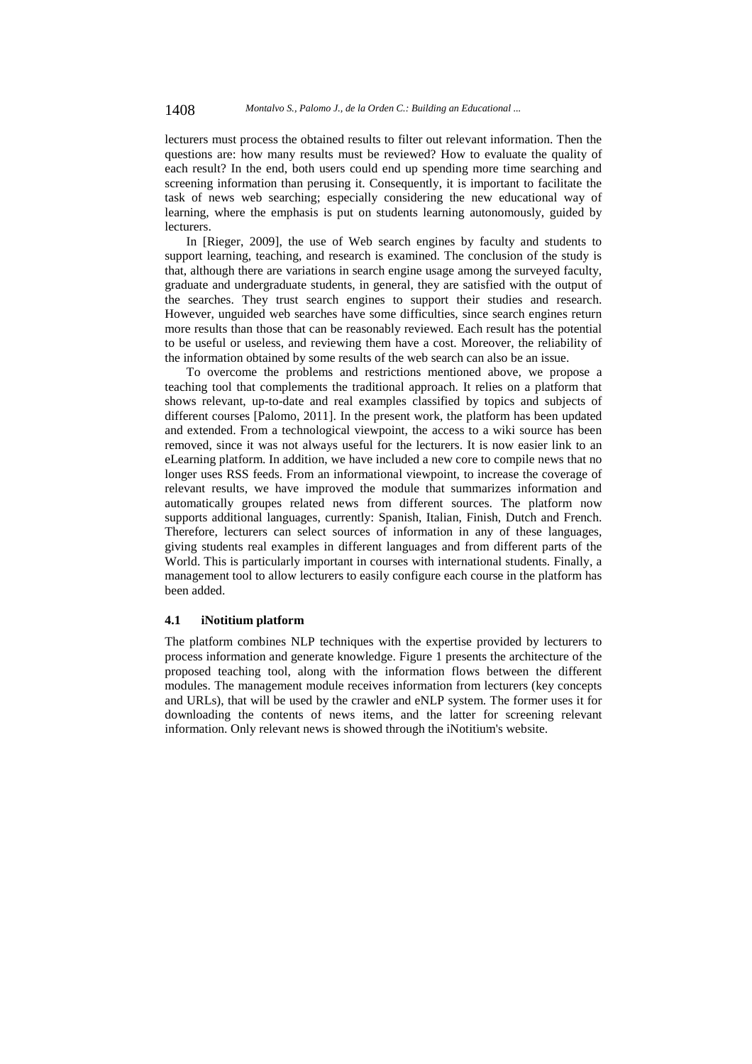lecturers must process the obtained results to filter out relevant information. Then the questions are: how many results must be reviewed? How to evaluate the quality of each result? In the end, both users could end up spending more time searching and screening information than perusing it. Consequently, it is important to facilitate the task of news web searching; especially considering the new educational way of learning, where the emphasis is put on students learning autonomously, guided by lecturers.

In [Rieger, 2009], the use of Web search engines by faculty and students to support learning, teaching, and research is examined. The conclusion of the study is that, although there are variations in search engine usage among the surveyed faculty, graduate and undergraduate students, in general, they are satisfied with the output of the searches. They trust search engines to support their studies and research. However, unguided web searches have some difficulties, since search engines return more results than those that can be reasonably reviewed. Each result has the potential to be useful or useless, and reviewing them have a cost. Moreover, the reliability of the information obtained by some results of the web search can also be an issue.

To overcome the problems and restrictions mentioned above, we propose a teaching tool that complements the traditional approach. It relies on a platform that shows relevant, up-to-date and real examples classified by topics and subjects of different courses [Palomo, 2011]. In the present work, the platform has been updated and extended. From a technological viewpoint, the access to a wiki source has been removed, since it was not always useful for the lecturers. It is now easier link to an eLearning platform. In addition, we have included a new core to compile news that no longer uses RSS feeds. From an informational viewpoint, to increase the coverage of relevant results, we have improved the module that summarizes information and automatically groupes related news from different sources. The platform now supports additional languages, currently: Spanish, Italian, Finish, Dutch and French. Therefore, lecturers can select sources of information in any of these languages, giving students real examples in different languages and from different parts of the World. This is particularly important in courses with international students. Finally, a management tool to allow lecturers to easily configure each course in the platform has been added.

#### **4.1 iNotitium platform**

The platform combines NLP techniques with the expertise provided by lecturers to process information and generate knowledge. Figure 1 presents the architecture of the proposed teaching tool, along with the information flows between the different modules. The management module receives information from lecturers (key concepts and URLs), that will be used by the crawler and eNLP system. The former uses it for downloading the contents of news items, and the latter for screening relevant information. Only relevant news is showed through the iNotitium's website.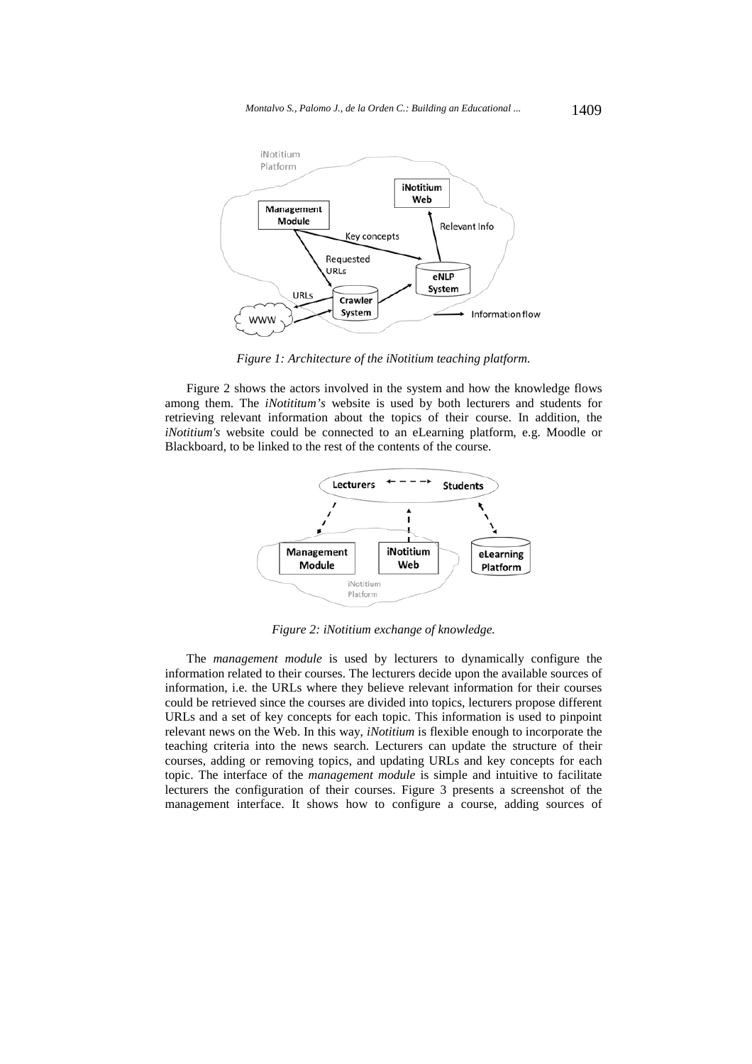

*Figure 1: Architecture of the iNotitium teaching platform.* 

Figure 2 shows the actors involved in the system and how the knowledge flows among them. The *iNotititum's* website is used by both lecturers and students for retrieving relevant information about the topics of their course. In addition, the *iNotitium's* website could be connected to an eLearning platform, e.g. Moodle or Blackboard, to be linked to the rest of the contents of the course.



*Figure 2: iNotitium exchange of knowledge.* 

The *management module* is used by lecturers to dynamically configure the information related to their courses. The lecturers decide upon the available sources of information, i.e. the URLs where they believe relevant information for their courses could be retrieved since the courses are divided into topics, lecturers propose different URLs and a set of key concepts for each topic. This information is used to pinpoint relevant news on the Web. In this way, *iNotitium* is flexible enough to incorporate the teaching criteria into the news search. Lecturers can update the structure of their courses, adding or removing topics, and updating URLs and key concepts for each topic. The interface of the *management module* is simple and intuitive to facilitate lecturers the configuration of their courses. Figure 3 presents a screenshot of the management interface. It shows how to configure a course, adding sources of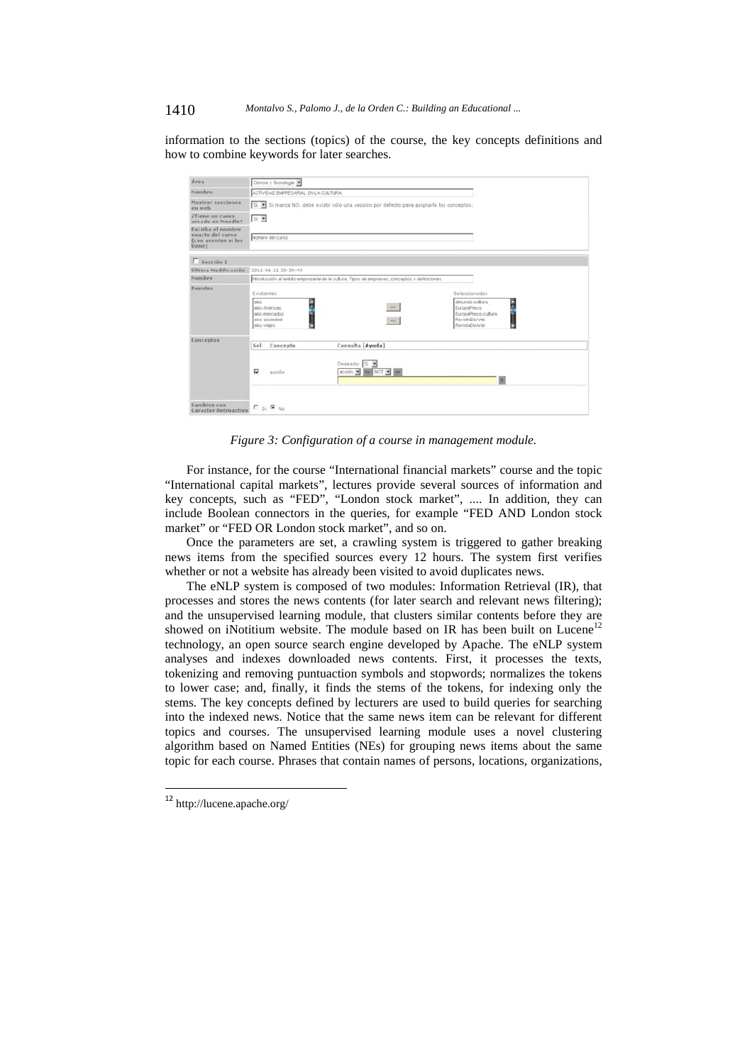#### 1410 *Montalvo S., Palomo J., de la Orden C.: Building an Educational ...*

information to the sections (topics) of the course, the key concepts definitions and how to combine keywords for later searches.

| Área                                                                   | Clencia y Tecnología                                                                          |                                                                                                     |                                                                                                          |  |  |
|------------------------------------------------------------------------|-----------------------------------------------------------------------------------------------|-----------------------------------------------------------------------------------------------------|----------------------------------------------------------------------------------------------------------|--|--|
| Nombre                                                                 | ACTIVIDAD EMPRESARIAL EN LA CULTURA                                                           |                                                                                                     |                                                                                                          |  |  |
| <b>Mostrar</b> secciones<br>en web                                     | Si Si marca NO, debe existir sólo una sección por defecto para asignarle los conceptos.       |                                                                                                     |                                                                                                          |  |  |
| ¿Tiene un curso<br>creado en Moodle?                                   | $9 \equiv$                                                                                    |                                                                                                     |                                                                                                          |  |  |
| Escriba el nombre<br>exacto del curso<br>(con acentos si los<br>tiene) | Nombre del curso                                                                              |                                                                                                     |                                                                                                          |  |  |
| $\Box$ Sección 1                                                       |                                                                                               |                                                                                                     |                                                                                                          |  |  |
| Última Modificación                                                    | 2011-06-21 20:39:40                                                                           |                                                                                                     |                                                                                                          |  |  |
| Nombre                                                                 | introducción al antido engresarial de la cultura. Tipos de enpresas, conceptos y definiciones |                                                                                                     |                                                                                                          |  |  |
| Fuentes                                                                | Existentes<br>six<br>abc-finanzas<br>abc-mercados<br>abc-sociedad<br>abc-visies               | $\gg$<br>$\mathcal{M}$                                                                              | Saleccionados<br>elmundo-cultura<br>EuropaPress<br>EuropaPress-cultura<br>RevistaDeArte<br>RevistaDeArte |  |  |
| Conceptos                                                              | Concepto<br>Sel.<br>π<br>acción                                                               | Consulta [Ayuda]<br>Deseado: Si B<br>$\text{acción}$ $\frac{1}{2}$ as $\text{NOT}$ $\frac{1}{2}$ as |                                                                                                          |  |  |
| Cambios con<br>Caracter Retroactivo                                    | $C$ si $G$ No                                                                                 |                                                                                                     |                                                                                                          |  |  |

*Figure 3: Configuration of a course in management module.* 

For instance, for the course "International financial markets" course and the topic "International capital markets", lectures provide several sources of information and key concepts, such as "FED", "London stock market", .... In addition, they can include Boolean connectors in the queries, for example "FED AND London stock market" or "FED OR London stock market", and so on.

Once the parameters are set, a crawling system is triggered to gather breaking news items from the specified sources every 12 hours. The system first verifies whether or not a website has already been visited to avoid duplicates news.

The eNLP system is composed of two modules: Information Retrieval (IR), that processes and stores the news contents (for later search and relevant news filtering); and the unsupervised learning module, that clusters similar contents before they are showed on iNotitium website. The module based on IR has been built on  $Lucene<sup>12</sup>$ technology, an open source search engine developed by Apache. The eNLP system analyses and indexes downloaded news contents. First, it processes the texts, tokenizing and removing puntuaction symbols and stopwords; normalizes the tokens to lower case; and, finally, it finds the stems of the tokens, for indexing only the stems. The key concepts defined by lecturers are used to build queries for searching into the indexed news. Notice that the same news item can be relevant for different topics and courses. The unsupervised learning module uses a novel clustering algorithm based on Named Entities (NEs) for grouping news items about the same topic for each course. Phrases that contain names of persons, locations, organizations,

 $\overline{\phantom{a}}$ 

<sup>&</sup>lt;sup>12</sup> http://lucene.apache.org/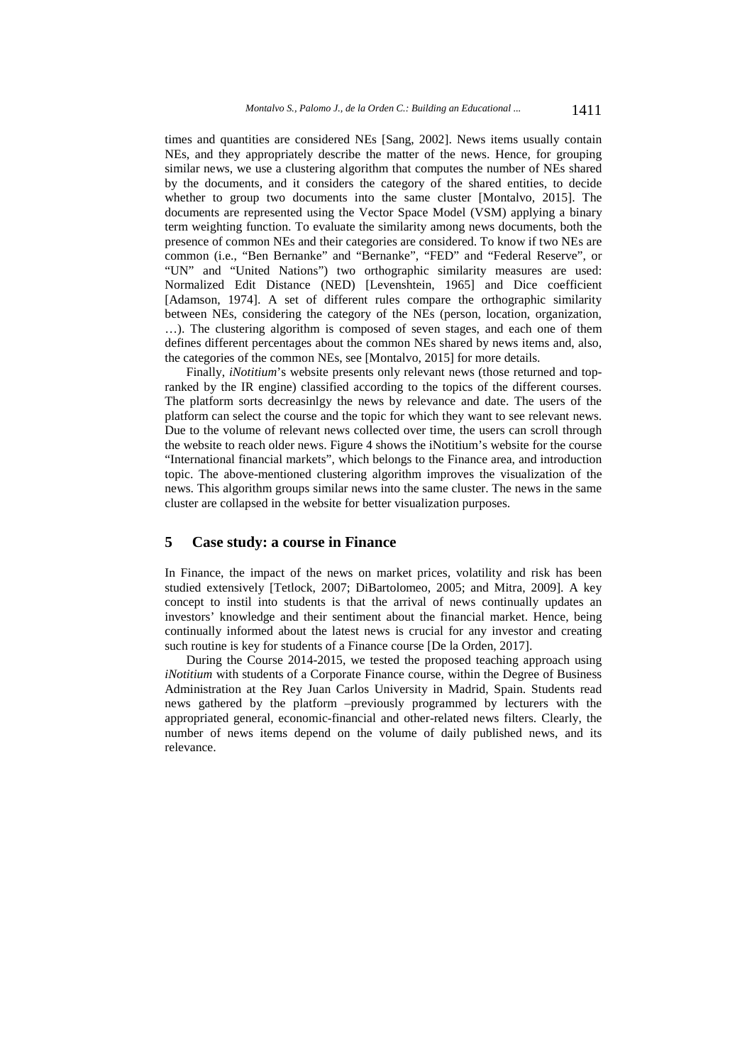times and quantities are considered NEs [Sang, 2002]. News items usually contain NEs, and they appropriately describe the matter of the news. Hence, for grouping similar news, we use a clustering algorithm that computes the number of NEs shared by the documents, and it considers the category of the shared entities, to decide whether to group two documents into the same cluster [Montalvo, 2015]. The documents are represented using the Vector Space Model (VSM) applying a binary term weighting function. To evaluate the similarity among news documents, both the presence of common NEs and their categories are considered. To know if two NEs are common (i.e., "Ben Bernanke" and "Bernanke", "FED" and "Federal Reserve", or "UN" and "United Nations") two orthographic similarity measures are used: Normalized Edit Distance (NED) [Levenshtein, 1965] and Dice coefficient [Adamson, 1974]. A set of different rules compare the orthographic similarity between NEs, considering the category of the NEs (person, location, organization, …). The clustering algorithm is composed of seven stages, and each one of them defines different percentages about the common NEs shared by news items and, also, the categories of the common NEs, see [Montalvo, 2015] for more details.

Finally, *iNotitium*'s website presents only relevant news (those returned and topranked by the IR engine) classified according to the topics of the different courses. The platform sorts decreasinlgy the news by relevance and date. The users of the platform can select the course and the topic for which they want to see relevant news. Due to the volume of relevant news collected over time, the users can scroll through the website to reach older news. Figure 4 shows the iNotitium's website for the course "International financial markets", which belongs to the Finance area, and introduction topic. The above-mentioned clustering algorithm improves the visualization of the news. This algorithm groups similar news into the same cluster. The news in the same cluster are collapsed in the website for better visualization purposes.

#### **5 Case study: a course in Finance**

In Finance, the impact of the news on market prices, volatility and risk has been studied extensively [Tetlock, 2007; DiBartolomeo, 2005; and Mitra, 2009]. A key concept to instil into students is that the arrival of news continually updates an investors' knowledge and their sentiment about the financial market. Hence, being continually informed about the latest news is crucial for any investor and creating such routine is key for students of a Finance course [De la Orden, 2017].

During the Course 2014-2015, we tested the proposed teaching approach using *iNotitium* with students of a Corporate Finance course, within the Degree of Business Administration at the Rey Juan Carlos University in Madrid, Spain. Students read news gathered by the platform –previously programmed by lecturers with the appropriated general, economic-financial and other-related news filters. Clearly, the number of news items depend on the volume of daily published news, and its relevance.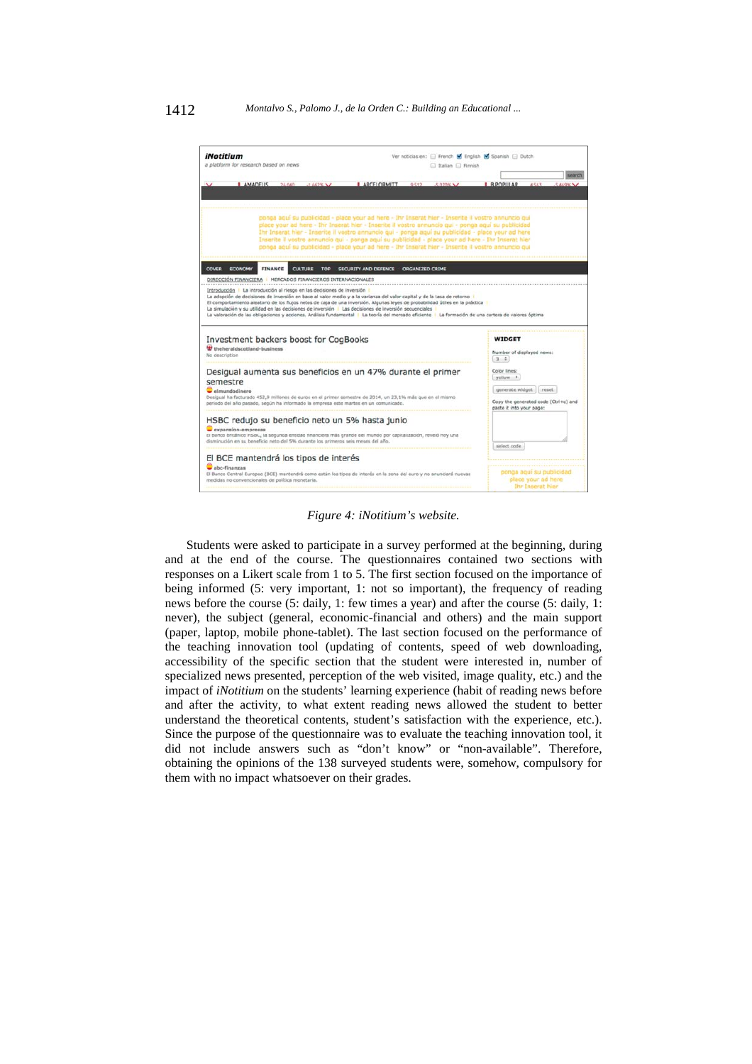

*Figure 4: iNotitium's website.* 

Students were asked to participate in a survey performed at the beginning, during and at the end of the course. The questionnaires contained two sections with responses on a Likert scale from 1 to 5. The first section focused on the importance of being informed (5: very important, 1: not so important), the frequency of reading news before the course (5: daily, 1: few times a year) and after the course (5: daily, 1: never), the subject (general, economic-financial and others) and the main support (paper, laptop, mobile phone-tablet). The last section focused on the performance of the teaching innovation tool (updating of contents, speed of web downloading, accessibility of the specific section that the student were interested in, number of specialized news presented, perception of the web visited, image quality, etc.) and the impact of *iNotitium* on the students' learning experience (habit of reading news before and after the activity, to what extent reading news allowed the student to better understand the theoretical contents, student's satisfaction with the experience, etc.). Since the purpose of the questionnaire was to evaluate the teaching innovation tool, it did not include answers such as "don't know" or "non-available". Therefore, obtaining the opinions of the 138 surveyed students were, somehow, compulsory for them with no impact whatsoever on their grades.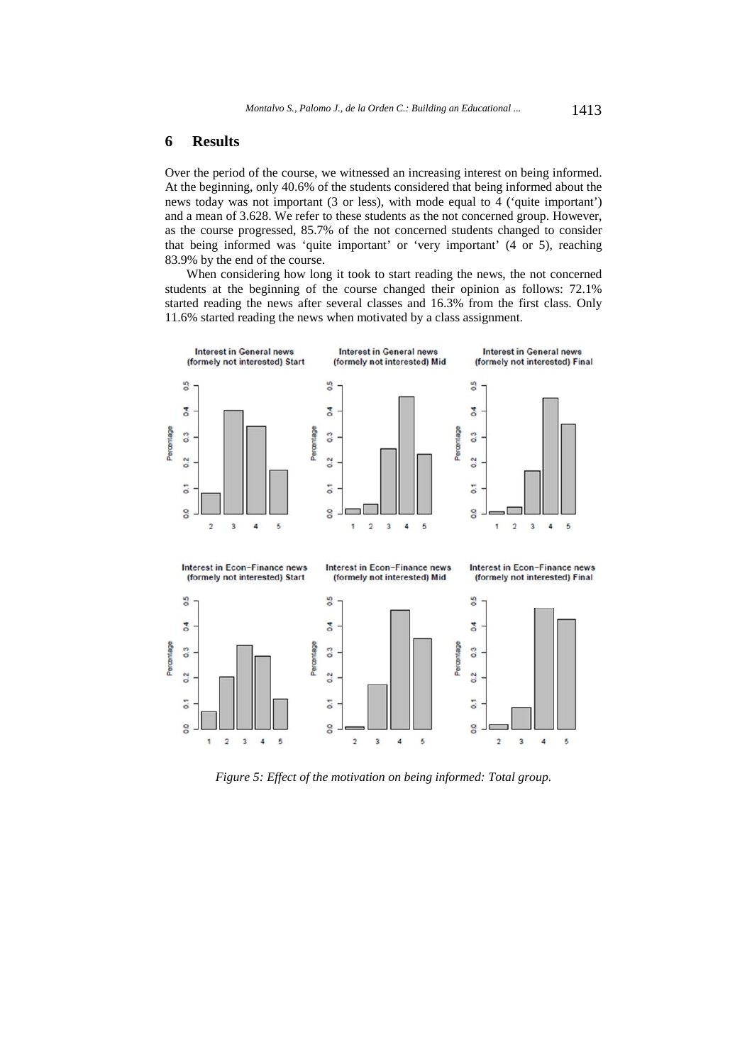### **6 Results**

Over the period of the course, we witnessed an increasing interest on being informed. At the beginning, only 40.6% of the students considered that being informed about the news today was not important (3 or less), with mode equal to 4 ('quite important') and a mean of 3.628. We refer to these students as the not concerned group. However, as the course progressed, 85.7% of the not concerned students changed to consider that being informed was 'quite important' or 'very important' (4 or 5), reaching 83.9% by the end of the course.

When considering how long it took to start reading the news, the not concerned students at the beginning of the course changed their opinion as follows: 72.1% started reading the news after several classes and 16.3% from the first class. Only 11.6% started reading the news when motivated by a class assignment.



*Figure 5: Effect of the motivation on being informed: Total group.*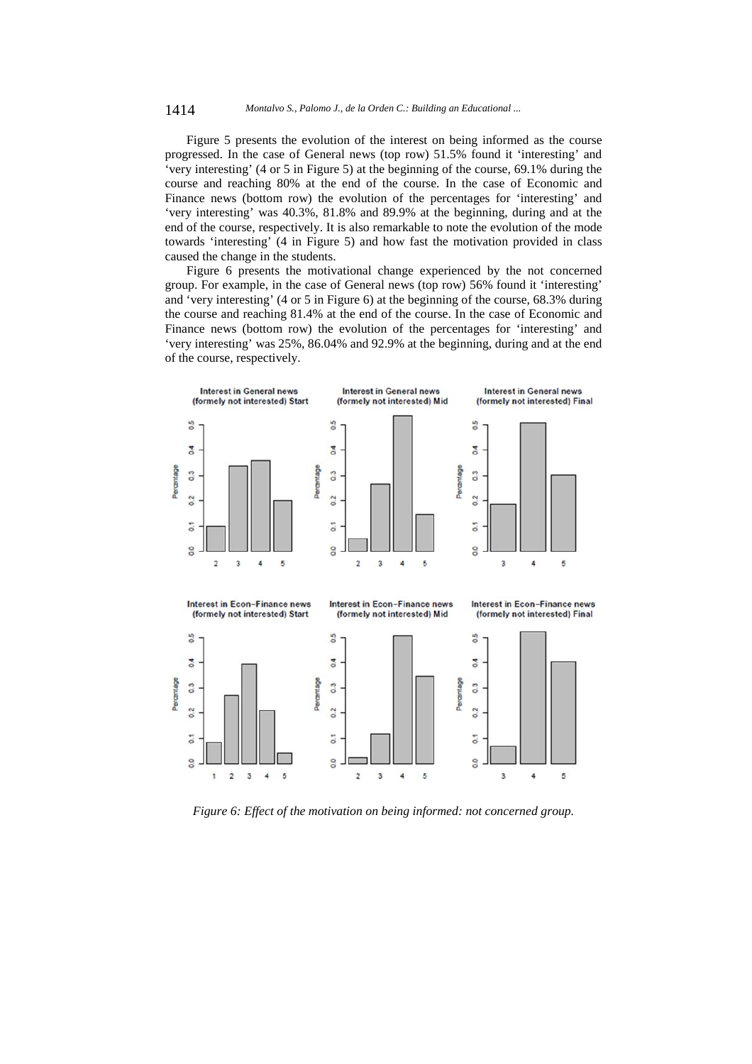Figure 5 presents the evolution of the interest on being informed as the course progressed. In the case of General news (top row) 51.5% found it 'interesting' and 'very interesting' (4 or 5 in Figure 5) at the beginning of the course, 69.1% during the course and reaching 80% at the end of the course. In the case of Economic and Finance news (bottom row) the evolution of the percentages for 'interesting' and 'very interesting' was 40.3%, 81.8% and 89.9% at the beginning, during and at the end of the course, respectively. It is also remarkable to note the evolution of the mode towards 'interesting' (4 in Figure 5) and how fast the motivation provided in class caused the change in the students.

Figure 6 presents the motivational change experienced by the not concerned group. For example, in the case of General news (top row) 56% found it 'interesting' and 'very interesting' (4 or 5 in Figure 6) at the beginning of the course, 68.3% during the course and reaching 81.4% at the end of the course. In the case of Economic and Finance news (bottom row) the evolution of the percentages for 'interesting' and 'very interesting' was 25%, 86.04% and 92.9% at the beginning, during and at the end of the course, respectively.



*Figure 6: Effect of the motivation on being informed: not concerned group.*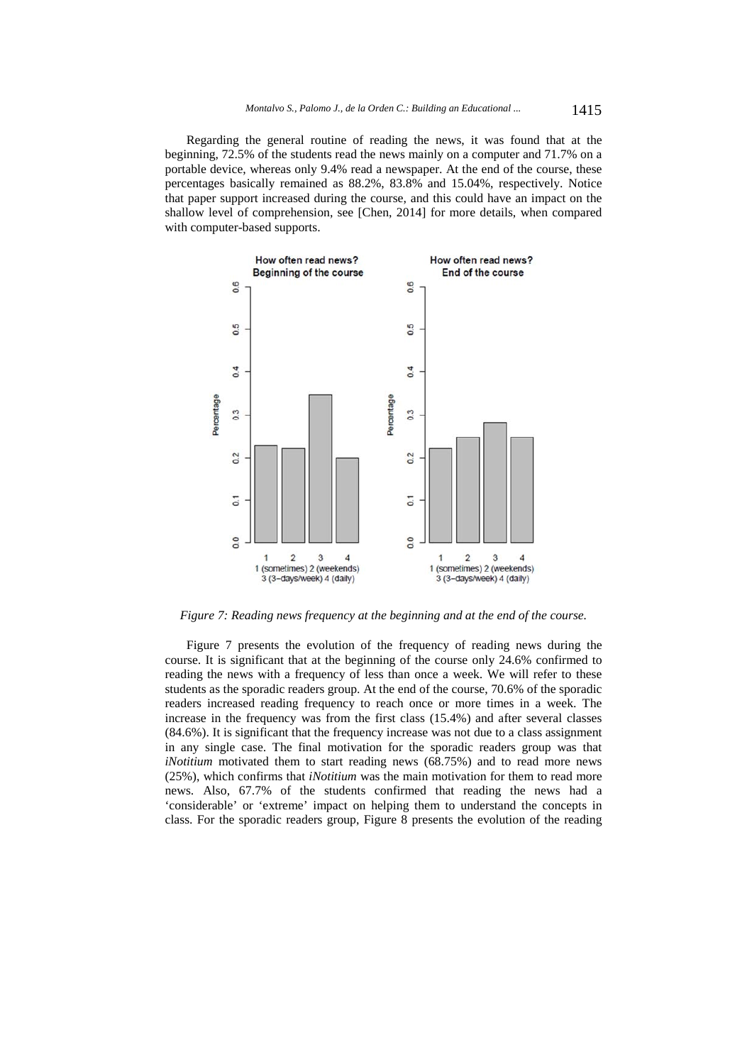Regarding the general routine of reading the news, it was found that at the beginning, 72.5% of the students read the news mainly on a computer and 71.7% on a portable device, whereas only 9.4% read a newspaper. At the end of the course, these percentages basically remained as 88.2%, 83.8% and 15.04%, respectively. Notice that paper support increased during the course, and this could have an impact on the shallow level of comprehension, see [Chen, 2014] for more details, when compared with computer-based supports.



*Figure 7: Reading news frequency at the beginning and at the end of the course.* 

Figure 7 presents the evolution of the frequency of reading news during the course. It is significant that at the beginning of the course only 24.6% confirmed to reading the news with a frequency of less than once a week. We will refer to these students as the sporadic readers group. At the end of the course, 70.6% of the sporadic readers increased reading frequency to reach once or more times in a week. The increase in the frequency was from the first class (15.4%) and after several classes (84.6%). It is significant that the frequency increase was not due to a class assignment in any single case. The final motivation for the sporadic readers group was that *iNotitium* motivated them to start reading news (68.75%) and to read more news (25%), which confirms that *iNotitium* was the main motivation for them to read more news. Also, 67.7% of the students confirmed that reading the news had a 'considerable' or 'extreme' impact on helping them to understand the concepts in class. For the sporadic readers group, Figure 8 presents the evolution of the reading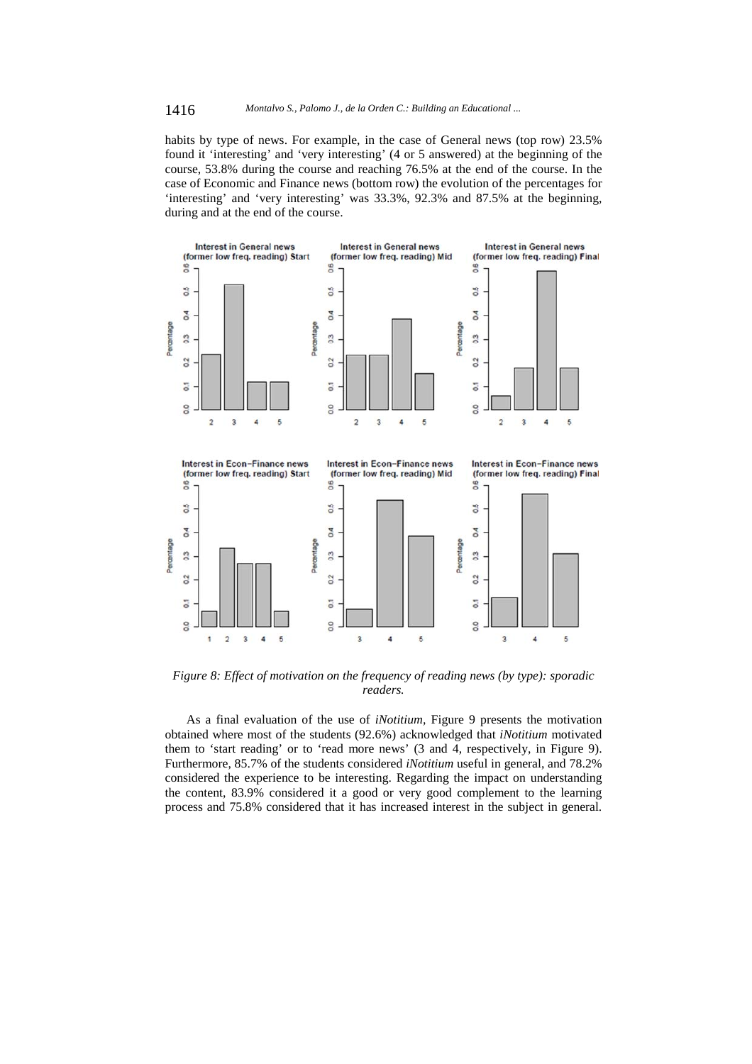habits by type of news. For example, in the case of General news (top row) 23.5% found it 'interesting' and 'very interesting' (4 or 5 answered) at the beginning of the course, 53.8% during the course and reaching 76.5% at the end of the course. In the case of Economic and Finance news (bottom row) the evolution of the percentages for 'interesting' and 'very interesting' was 33.3%, 92.3% and 87.5% at the beginning, during and at the end of the course.



*Figure 8: Effect of motivation on the frequency of reading news (by type): sporadic readers.* 

As a final evaluation of the use of *iNotitium,* Figure 9 presents the motivation obtained where most of the students (92.6%) acknowledged that *iNotitium* motivated them to 'start reading' or to 'read more news' (3 and 4, respectively, in Figure 9). Furthermore, 85.7% of the students considered *iNotitium* useful in general, and 78.2% considered the experience to be interesting. Regarding the impact on understanding the content, 83.9% considered it a good or very good complement to the learning process and 75.8% considered that it has increased interest in the subject in general.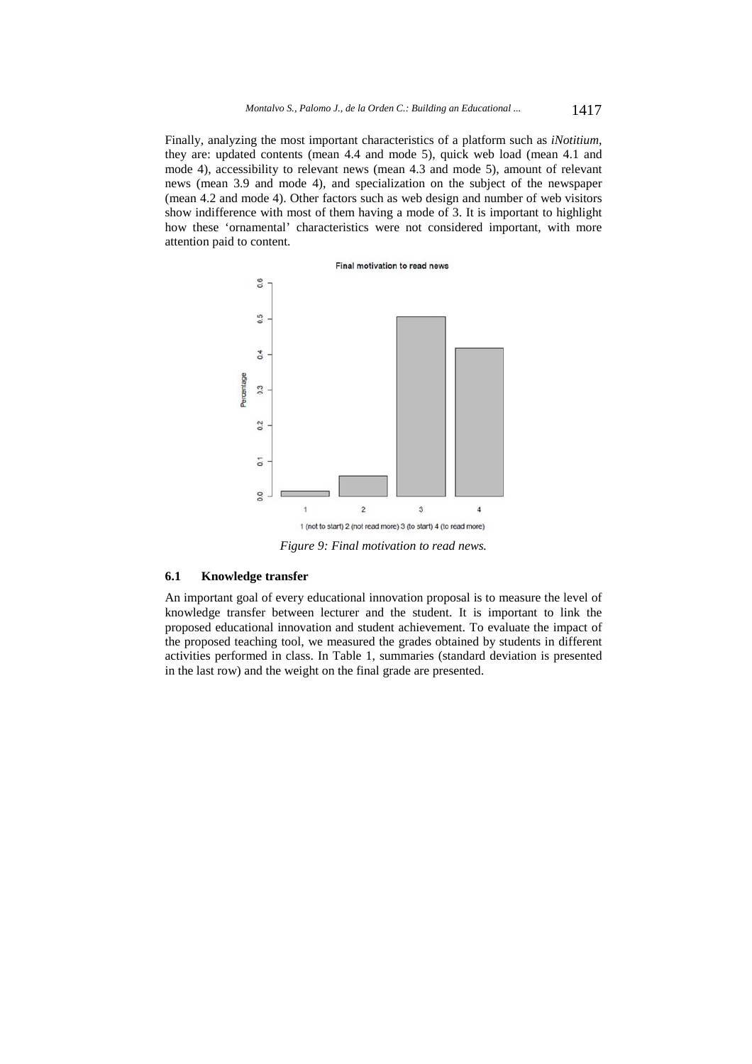Finally, analyzing the most important characteristics of a platform such as *iNotitium*, they are: updated contents (mean 4.4 and mode 5), quick web load (mean 4.1 and mode 4), accessibility to relevant news (mean 4.3 and mode 5), amount of relevant news (mean 3.9 and mode 4), and specialization on the subject of the newspaper (mean 4.2 and mode 4). Other factors such as web design and number of web visitors show indifference with most of them having a mode of 3. It is important to highlight how these 'ornamental' characteristics were not considered important, with more attention paid to content.



#### **6.1 Knowledge transfer**

An important goal of every educational innovation proposal is to measure the level of knowledge transfer between lecturer and the student. It is important to link the proposed educational innovation and student achievement. To evaluate the impact of the proposed teaching tool, we measured the grades obtained by students in different activities performed in class. In Table 1, summaries (standard deviation is presented in the last row) and the weight on the final grade are presented.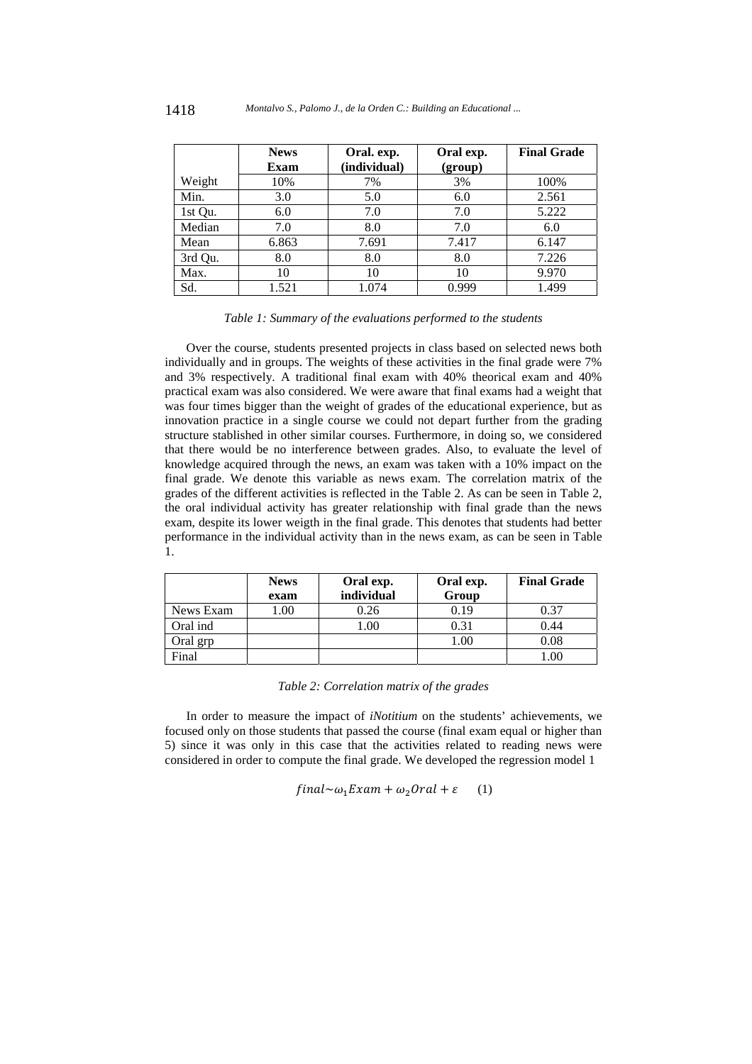|         | <b>News</b> | Oral. exp.   | Oral exp. | <b>Final Grade</b> |
|---------|-------------|--------------|-----------|--------------------|
|         | Exam        | (individual) | (group)   |                    |
| Weight  | 10%         | 7%           | 3%        | 100%               |
| Min.    | 3.0         | 5.0          | 6.0       | 2.561              |
| 1st Qu. | 6.0         | 7.0          | 7.0       | 5.222              |
| Median  | 7.0         | 8.0          | 7.0       | 6.0                |
| Mean    | 6.863       | 7.691        | 7.417     | 6.147              |
| 3rd Qu. | 8.0         | 8.0          | 8.0       | 7.226              |
| Max.    | 10          | 10           | 10        | 9.970              |
| Sd.     | 1.521       | 1.074        | 0.999     | 1.499              |

#### *Table 1: Summary of the evaluations performed to the students*

Over the course, students presented projects in class based on selected news both individually and in groups. The weights of these activities in the final grade were 7% and 3% respectively. A traditional final exam with 40% theorical exam and 40% practical exam was also considered. We were aware that final exams had a weight that was four times bigger than the weight of grades of the educational experience, but as innovation practice in a single course we could not depart further from the grading structure stablished in other similar courses. Furthermore, in doing so, we considered that there would be no interference between grades. Also, to evaluate the level of knowledge acquired through the news, an exam was taken with a 10% impact on the final grade. We denote this variable as news exam. The correlation matrix of the grades of the different activities is reflected in the Table 2. As can be seen in Table 2, the oral individual activity has greater relationship with final grade than the news exam, despite its lower weigth in the final grade. This denotes that students had better performance in the individual activity than in the news exam, as can be seen in Table 1.

|           | <b>News</b> | Oral exp.  | Oral exp. | <b>Final Grade</b> |
|-----------|-------------|------------|-----------|--------------------|
|           | exam        | individual | Group     |                    |
| News Exam | .00.        | 0.26       | 0.19      | 0.37               |
| Oral ind  |             | 1.00       | 0.31      | 0.44               |
| Oral grp  |             |            | 1.00      | 0.08               |
| Final     |             |            |           | .00                |

*Table 2: Correlation matrix of the grades* 

In order to measure the impact of *iNotitium* on the students' achievements, we focused only on those students that passed the course (final exam equal or higher than 5) since it was only in this case that the activities related to reading news were considered in order to compute the final grade. We developed the regression model 1

$$
final \sim \omega_1 Exam + \omega_2 Oral + \varepsilon \qquad (1)
$$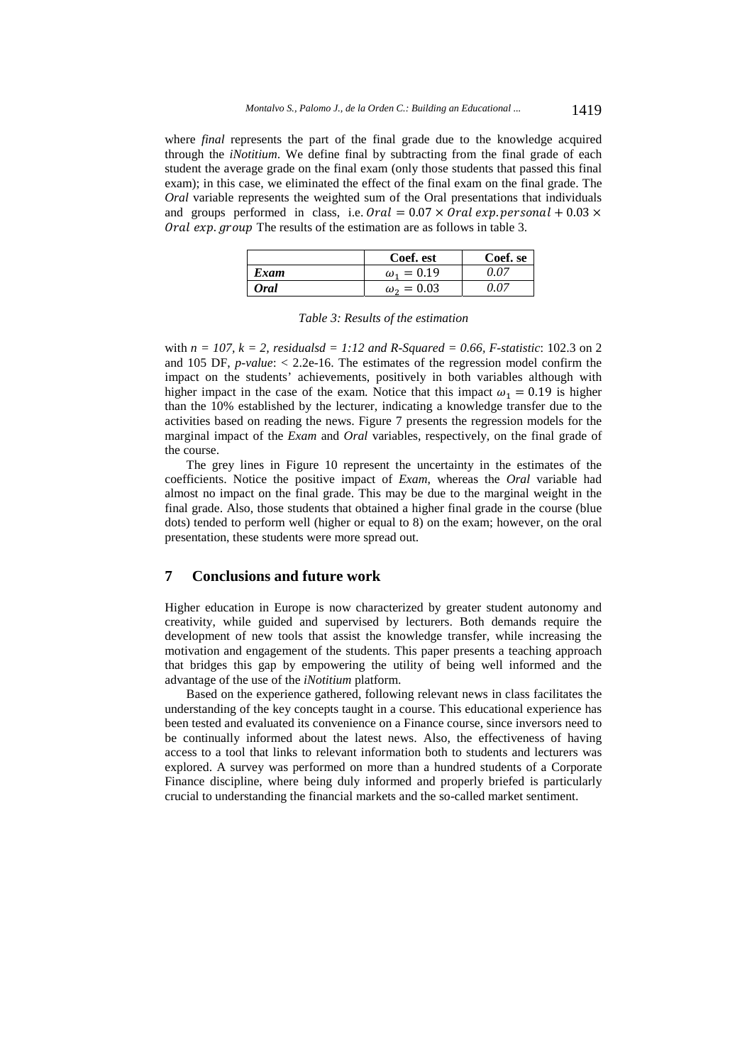where *final* represents the part of the final grade due to the knowledge acquired through the *iNotitium*. We define final by subtracting from the final grade of each student the average grade on the final exam (only those students that passed this final exam); in this case, we eliminated the effect of the final exam on the final grade. The *Oral* variable represents the weighted sum of the Oral presentations that individuals and groups performed in class, i.e.  $\text{O} \text{r}$  al = 0.07 ×  $\text{O} \text{r}$  al exp. personal + 0.03 × Oral exp. group The results of the estimation are as follows in table 3.

|                  | Coef. est         | Coef. se |
|------------------|-------------------|----------|
| Exam             | $\omega_1 = 0.19$ | 0 O Z    |
| 0 <sub>ral</sub> | $\omega_2 = 0.03$ | 0 O Z    |

with  $n = 107$ ,  $k = 2$ , residualsd = 1:12 and R-Squared = 0.66, F-statistic: 102.3 on 2 and 105 DF, *p-value*: < 2.2e-16. The estimates of the regression model confirm the impact on the students' achievements, positively in both variables although with higher impact in the case of the exam. Notice that this impact  $\omega_1 = 0.19$  is higher than the 10% established by the lecturer, indicating a knowledge transfer due to the activities based on reading the news. Figure 7 presents the regression models for the marginal impact of the *Exam* and *Oral* variables, respectively, on the final grade of the course.

The grey lines in Figure 10 represent the uncertainty in the estimates of the coefficients. Notice the positive impact of *Exam*, whereas the *Oral* variable had almost no impact on the final grade. This may be due to the marginal weight in the final grade. Also, those students that obtained a higher final grade in the course (blue dots) tended to perform well (higher or equal to 8) on the exam; however, on the oral presentation, these students were more spread out.

### **7 Conclusions and future work**

Higher education in Europe is now characterized by greater student autonomy and creativity, while guided and supervised by lecturers. Both demands require the development of new tools that assist the knowledge transfer, while increasing the motivation and engagement of the students. This paper presents a teaching approach that bridges this gap by empowering the utility of being well informed and the advantage of the use of the *iNotitium* platform.

Based on the experience gathered, following relevant news in class facilitates the understanding of the key concepts taught in a course. This educational experience has been tested and evaluated its convenience on a Finance course, since inversors need to be continually informed about the latest news. Also, the effectiveness of having access to a tool that links to relevant information both to students and lecturers was explored. A survey was performed on more than a hundred students of a Corporate Finance discipline, where being duly informed and properly briefed is particularly crucial to understanding the financial markets and the so-called market sentiment.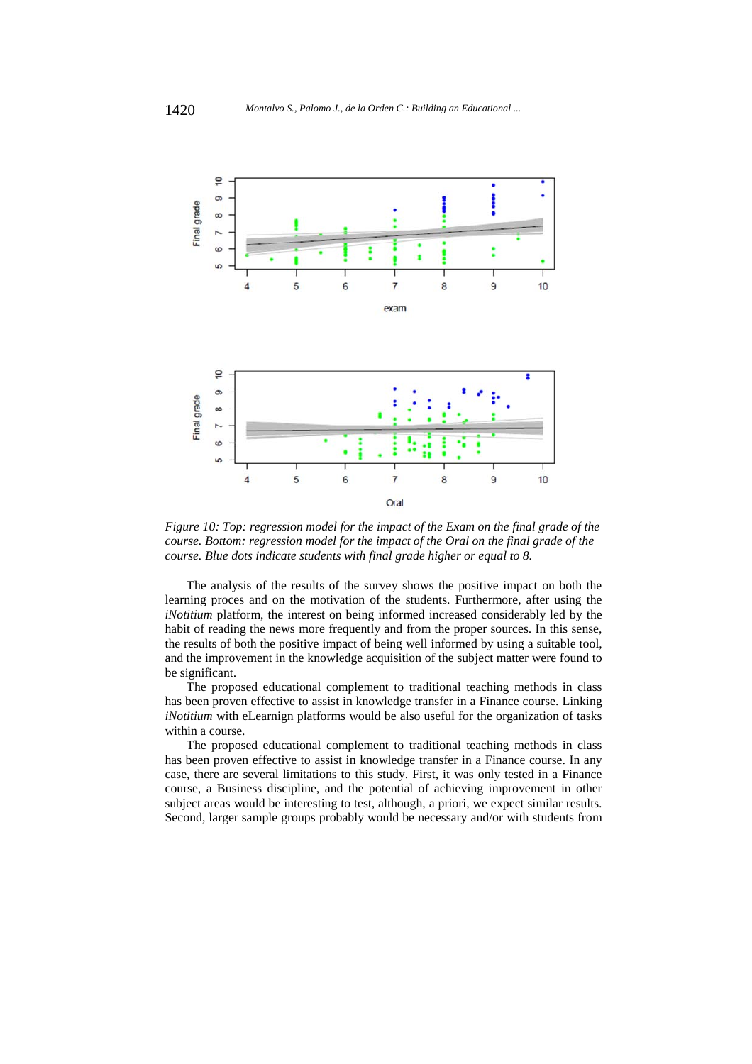

*Figure 10: Top: regression model for the impact of the Exam on the final grade of the course. Bottom: regression model for the impact of the Oral on the final grade of the course. Blue dots indicate students with final grade higher or equal to 8.* 

The analysis of the results of the survey shows the positive impact on both the learning proces and on the motivation of the students. Furthermore, after using the *iNotitium* platform, the interest on being informed increased considerably led by the habit of reading the news more frequently and from the proper sources. In this sense, the results of both the positive impact of being well informed by using a suitable tool, and the improvement in the knowledge acquisition of the subject matter were found to be significant.

The proposed educational complement to traditional teaching methods in class has been proven effective to assist in knowledge transfer in a Finance course. Linking *iNotitium* with eLearnign platforms would be also useful for the organization of tasks within a course.

The proposed educational complement to traditional teaching methods in class has been proven effective to assist in knowledge transfer in a Finance course. In any case, there are several limitations to this study. First, it was only tested in a Finance course, a Business discipline, and the potential of achieving improvement in other subject areas would be interesting to test, although, a priori, we expect similar results. Second, larger sample groups probably would be necessary and/or with students from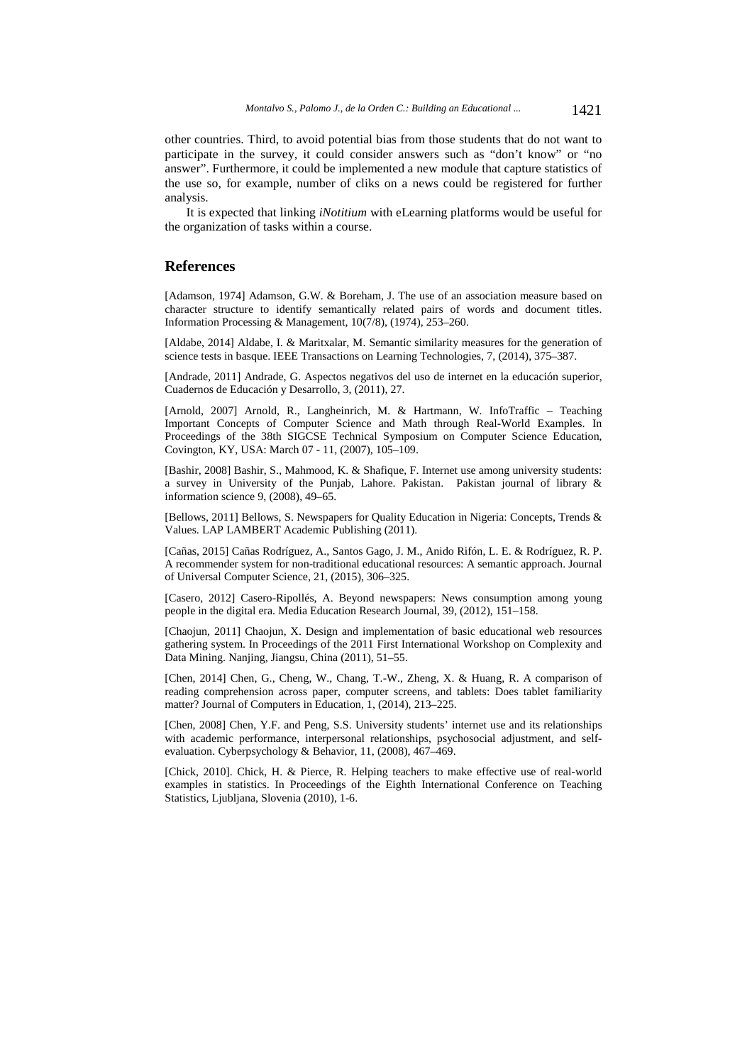other countries. Third, to avoid potential bias from those students that do not want to participate in the survey, it could consider answers such as "don't know" or "no answer". Furthermore, it could be implemented a new module that capture statistics of the use so, for example, number of cliks on a news could be registered for further analysis.

It is expected that linking *iNotitium* with eLearning platforms would be useful for the organization of tasks within a course.

### **References**

[Adamson, 1974] Adamson, G.W. & Boreham, J. The use of an association measure based on character structure to identify semantically related pairs of words and document titles. Information Processing & Management, 10(7/8), (1974), 253–260.

[Aldabe, 2014] Aldabe, I. & Maritxalar, M. Semantic similarity measures for the generation of science tests in basque. IEEE Transactions on Learning Technologies, 7, (2014), 375–387.

[Andrade, 2011] Andrade, G. Aspectos negativos del uso de internet en la educación superior, Cuadernos de Educación y Desarrollo, 3, (2011), 27.

[Arnold, 2007] Arnold, R., Langheinrich, M. & Hartmann, W. InfoTraffic - Teaching Important Concepts of Computer Science and Math through Real-World Examples. In Proceedings of the 38th SIGCSE Technical Symposium on Computer Science Education, Covington, KY, USA: March 07 - 11, (2007), 105–109.

[Bashir, 2008] Bashir, S., Mahmood, K. & Shafique, F. Internet use among university students: a survey in University of the Punjab, Lahore. Pakistan. Pakistan journal of library & information science 9, (2008), 49–65.

[Bellows, 2011] Bellows, S. Newspapers for Quality Education in Nigeria: Concepts, Trends & Values. LAP LAMBERT Academic Publishing (2011).

[Cañas, 2015] Cañas Rodríguez, A., Santos Gago, J. M., Anido Rifón, L. E. & Rodríguez, R. P. A recommender system for non-traditional educational resources: A semantic approach. Journal of Universal Computer Science, 21, (2015), 306–325.

[Casero, 2012] Casero-Ripollés, A. Beyond newspapers: News consumption among young people in the digital era. Media Education Research Journal, 39, (2012), 151–158.

[Chaojun, 2011] Chaojun, X. Design and implementation of basic educational web resources gathering system. In Proceedings of the 2011 First International Workshop on Complexity and Data Mining. Nanjing, Jiangsu, China (2011), 51–55.

[Chen, 2014] Chen, G., Cheng, W., Chang, T.-W., Zheng, X. & Huang, R. A comparison of reading comprehension across paper, computer screens, and tablets: Does tablet familiarity matter? Journal of Computers in Education, 1, (2014), 213–225.

[Chen, 2008] Chen, Y.F. and Peng, S.S. University students' internet use and its relationships with academic performance, interpersonal relationships, psychosocial adjustment, and selfevaluation. Cyberpsychology & Behavior, 11, (2008), 467–469.

[Chick, 2010]. Chick, H. & Pierce, R. Helping teachers to make effective use of real-world examples in statistics. In Proceedings of the Eighth International Conference on Teaching Statistics, Ljubljana, Slovenia (2010), 1-6.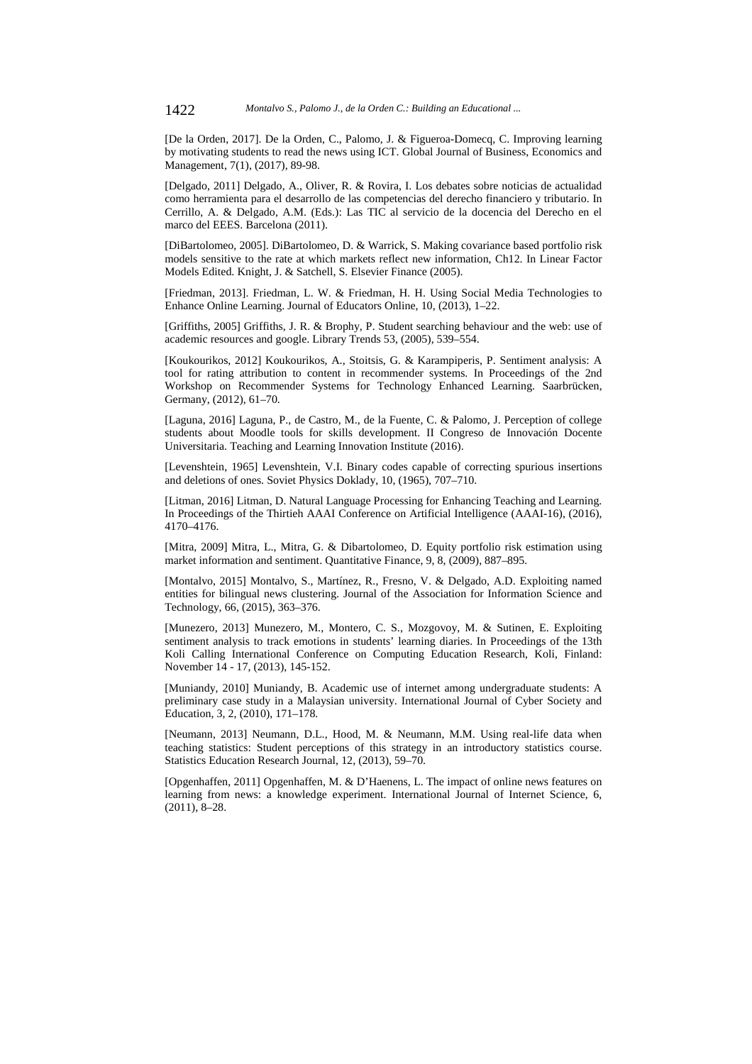[De la Orden, 2017]. De la Orden, C., Palomo, J. & Figueroa-Domecq, C. Improving learning by motivating students to read the news using ICT. Global Journal of Business, Economics and Management, 7(1), (2017), 89-98.

[Delgado, 2011] Delgado, A., Oliver, R. & Rovira, I. Los debates sobre noticias de actualidad como herramienta para el desarrollo de las competencias del derecho financiero y tributario. In Cerrillo, A. & Delgado, A.M. (Eds.): Las TIC al servicio de la docencia del Derecho en el marco del EEES. Barcelona (2011).

[DiBartolomeo, 2005]. DiBartolomeo, D. & Warrick, S. Making covariance based portfolio risk models sensitive to the rate at which markets reflect new information, Ch12. In Linear Factor Models Edited. Knight, J. & Satchell, S. Elsevier Finance (2005).

[Friedman, 2013]. Friedman, L. W. & Friedman, H. H. Using Social Media Technologies to Enhance Online Learning. Journal of Educators Online, 10, (2013), 1–22.

[Griffiths, 2005] Griffiths, J. R. & Brophy, P. Student searching behaviour and the web: use of academic resources and google. Library Trends 53, (2005), 539–554.

[Koukourikos, 2012] Koukourikos, A., Stoitsis, G. & Karampiperis, P. Sentiment analysis: A tool for rating attribution to content in recommender systems. In Proceedings of the 2nd Workshop on Recommender Systems for Technology Enhanced Learning. Saarbrücken, Germany, (2012), 61–70.

[Laguna, 2016] Laguna, P., de Castro, M., de la Fuente, C. & Palomo, J. Perception of college students about Moodle tools for skills development. II Congreso de Innovación Docente Universitaria. Teaching and Learning Innovation Institute (2016).

[Levenshtein, 1965] Levenshtein, V.I. Binary codes capable of correcting spurious insertions and deletions of ones. Soviet Physics Doklady, 10, (1965), 707–710.

[Litman, 2016] Litman, D. Natural Language Processing for Enhancing Teaching and Learning. In Proceedings of the Thirtieh AAAI Conference on Artificial Intelligence (AAAI-16), (2016), 4170–4176.

[Mitra, 2009] Mitra, L., Mitra, G. & Dibartolomeo, D. Equity portfolio risk estimation using market information and sentiment. Quantitative Finance, 9, 8, (2009), 887–895.

[Montalvo, 2015] Montalvo, S., Martínez, R., Fresno, V. & Delgado, A.D. Exploiting named entities for bilingual news clustering. Journal of the Association for Information Science and Technology, 66, (2015), 363–376.

[Munezero, 2013] Munezero, M., Montero, C. S., Mozgovoy, M. & Sutinen, E. Exploiting sentiment analysis to track emotions in students' learning diaries. In Proceedings of the 13th Koli Calling International Conference on Computing Education Research, Koli, Finland: November 14 - 17, (2013), 145-152.

[Muniandy, 2010] Muniandy, B. Academic use of internet among undergraduate students: A preliminary case study in a Malaysian university. International Journal of Cyber Society and Education, 3, 2, (2010), 171–178.

[Neumann, 2013] Neumann, D.L., Hood, M. & Neumann, M.M. Using real-life data when teaching statistics: Student perceptions of this strategy in an introductory statistics course. Statistics Education Research Journal, 12, (2013), 59–70.

[Opgenhaffen, 2011] Opgenhaffen, M. & D'Haenens, L. The impact of online news features on learning from news: a knowledge experiment. International Journal of Internet Science, 6, (2011), 8–28.